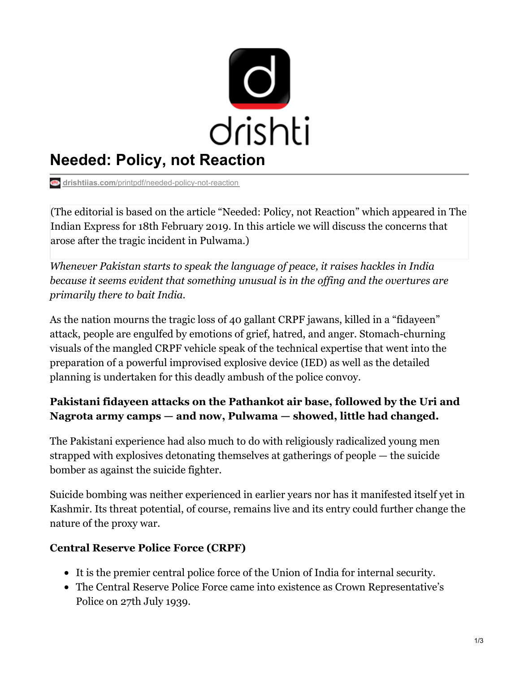

# **Needed: Policy, not Reaction**

**drishtiias.com**[/printpdf/needed-policy-not-reaction](https://www.drishtiias.com/printpdf/needed-policy-not-reaction)

(The editorial is based on the article "Needed: Policy, not Reaction" which appeared in The Indian Express for 18th February 2019. In this article we will discuss the concerns that arose after the tragic incident in Pulwama.)

*Whenever Pakistan starts to speak the language of peace, it raises hackles in India because it seems evident that something unusual is in the of ing and the overtures are primarily there to bait India.*

As the nation mourns the tragic loss of 40 gallant CRPF jawans, killed in a "fidayeen" attack, people are engulfed by emotions of grief, hatred, and anger. Stomach-churning visuals of the mangled CRPF vehicle speak of the technical expertise that went into the preparation of a powerful improvised explosive device (IED) as well as the detailed planning is undertaken for this deadly ambush of the police convoy.

## **Pakistani fidayeen attacks on the Pathankot air base, followed by the Uri and Nagrota army camps — and now, Pulwama — showed, little had changed.**

The Pakistani experience had also much to do with religiously radicalized young men strapped with explosives detonating themselves at gatherings of people — the suicide bomber as against the suicide fighter.

Suicide bombing was neither experienced in earlier years nor has it manifested itself yet in Kashmir. Its threat potential, of course, remains live and its entry could further change the nature of the proxy war.

#### **Central Reserve Police Force (CRPF)**

- It is the premier central police force of the Union of India for internal security.
- The Central Reserve Police Force came into existence as Crown Representative's Police on 27th July 1939.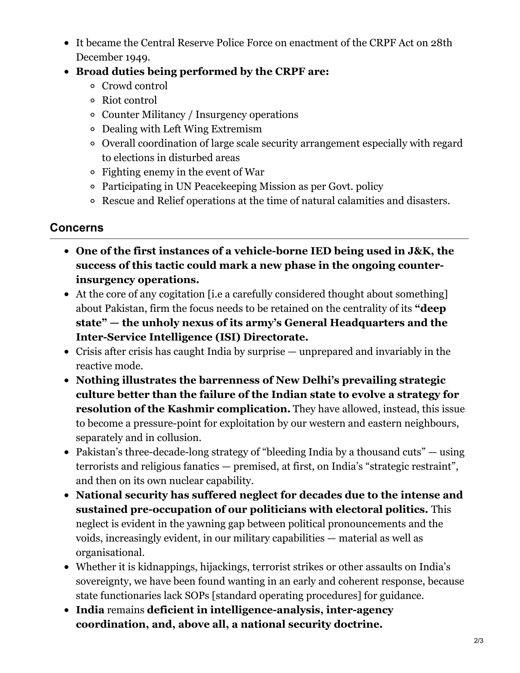- It became the Central Reserve Police Force on enactment of the CRPF Act on 28th December 1949.
- **Broad duties being performed by the CRPF are:**
	- Crowd control
	- Riot control
	- Counter Militancy / Insurgency operations
	- Dealing with Left Wing Extremism
	- Overall coordination of large scale security arrangement especially with regard to elections in disturbed areas
	- Fighting enemy in the event of War
	- Participating in UN Peacekeeping Mission as per Govt. policy
	- Rescue and Relief operations at the time of natural calamities and disasters.

## **Concerns**

- **One of the first instances of a vehicle-borne IED being used in J&K, the success of this tactic could mark a new phase in the ongoing counterinsurgency operations.**
- At the core of any cogitation [i.e a carefully considered thought about something] about Pakistan, firm the focus needs to be retained on the centrality of its **"deep state" — the unholy nexus of its army's General Headquarters and the Inter-Service Intelligence (ISI) Directorate.**
- Crisis after crisis has caught India by surprise unprepared and invariably in the reactive mode.
- **Nothing illustrates the barrenness of New Delhi's prevailing strategic culture better than the failure of the Indian state to evolve a strategy for resolution of the Kashmir complication.** They have allowed, instead, this issue to become a pressure-point for exploitation by our western and eastern neighbours, separately and in collusion.
- Pakistan's three-decade-long strategy of "bleeding India by a thousand cuts" using terrorists and religious fanatics — premised, at first, on India's "strategic restraint", and then on its own nuclear capability.
- **National security has suffered neglect for decades due to the intense and sustained pre-occupation of our politicians with electoral politics.** This neglect is evident in the yawning gap between political pronouncements and the voids, increasingly evident, in our military capabilities — material as well as organisational.
- Whether it is kidnappings, hijackings, terrorist strikes or other assaults on India's sovereignty, we have been found wanting in an early and coherent response, because state functionaries lack SOPs [standard operating procedures] for guidance.
- **India** remains **deficient in intelligence-analysis, inter-agency coordination, and, above all, a national security doctrine.**